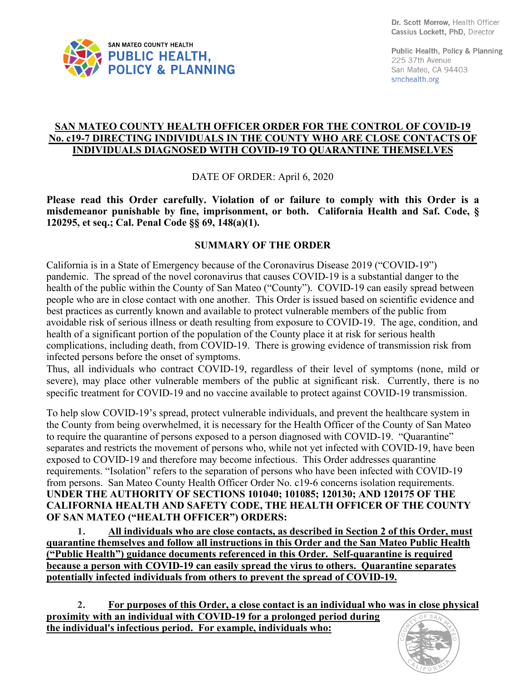

Public Health, Policy & Planning 225 37th Avenue San Mateo, CA 94403 smchealth.org

## **SAN MATEO COUNTY HEALTH OFFICER ORDER FOR THE CONTROL OF COVID-19 No. c19-7 DIRECTING INDIVIDUALS IN THE COUNTY WHO ARE CLOSE CONTACTS OF INDIVIDUALS DIAGNOSED WITH COVID-19 TO QUARANTINE THEMSELVES**

DATE OF ORDER: April 6, 2020

**Please read this Order carefully. Violation of or failure to comply with this Order is a misdemeanor punishable by fine, imprisonment, or both. California Health and Saf. Code, § 120295, et seq.; Cal. Penal Code §§ 69, 148(a)(1).**

## **SUMMARY OF THE ORDER**

California is in a State of Emergency because of the Coronavirus Disease 2019 ("COVID-19") pandemic. The spread of the novel coronavirus that causes COVID-19 is a substantial danger to the health of the public within the County of San Mateo ("County"). COVID-19 can easily spread between people who are in close contact with one another. This Order is issued based on scientific evidence and best practices as currently known and available to protect vulnerable members of the public from avoidable risk of serious illness or death resulting from exposure to COVID-19. The age, condition, and health of a significant portion of the population of the County place it at risk for serious health complications, including death, from COVID-19. There is growing evidence of transmission risk from infected persons before the onset of symptoms.

Thus, all individuals who contract COVID-19, regardless of their level of symptoms (none, mild or severe), may place other vulnerable members of the public at significant risk. Currently, there is no specific treatment for COVID-19 and no vaccine available to protect against COVID-19 transmission.

To help slow COVID-19's spread, protect vulnerable individuals, and prevent the healthcare system in the County from being overwhelmed, it is necessary for the Health Officer of the County of San Mateo to require the quarantine of persons exposed to a person diagnosed with COVID-19. "Quarantine" separates and restricts the movement of persons who, while not yet infected with COVID-19, have been exposed to COVID-19 and therefore may become infectious. This Order addresses quarantine requirements. "Isolation" refers to the separation of persons who have been infected with COVID-19 from persons. San Mateo County Health Officer Order No. c19-6 concerns isolation requirements. **UNDER THE AUTHORITY OF SECTIONS 101040; 101085; 120130; AND 120175 OF THE CALIFORNIA HEALTH AND SAFETY CODE, THE HEALTH OFFICER OF THE COUNTY OF SAN MATEO ("HEALTH OFFICER") ORDERS:**

**1. All individuals who are close contacts, as described in Section 2 of this Order, must quarantine themselves and follow all instructions in this Order and the San Mateo Public Health ("Public Health") guidance documents referenced in this Order. Self-quarantine is required because a person with COVID-19 can easily spread the virus to others. Quarantine separates potentially infected individuals from others to prevent the spread of COVID-19.**

**2. For purposes of this Order, a close contact is an individual who was in close physical proximity with an individual with COVID-19 for a prolonged period during the individual's infectious period. For example, individuals who:** 

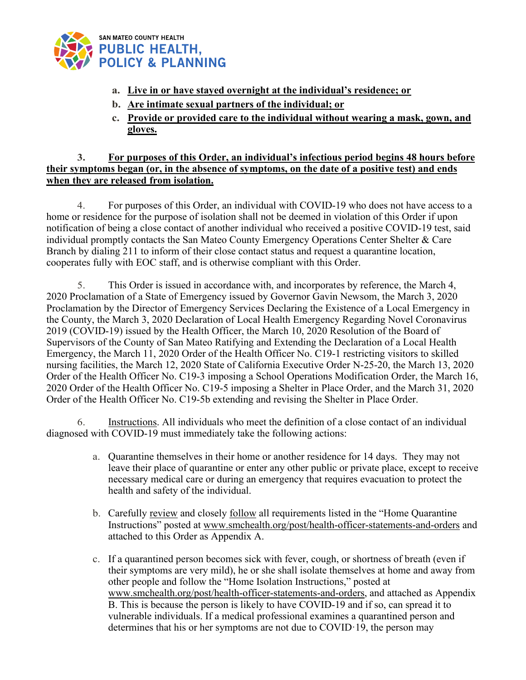

- **a. Live in or have stayed overnight at the individual's residence; or**
- **b. Are intimate sexual partners of the individual; or**
- **c. Provide or provided care to the individual without wearing a mask, gown, and gloves.**

## **3. For purposes of this Order, an individual's infectious period begins 48 hours before their symptoms began (or, in the absence of symptoms, on the date of a positive test) and ends when they are released from isolation.**

4. For purposes of this Order, an individual with COVID-19 who does not have access to a home or residence for the purpose of isolation shall not be deemed in violation of this Order if upon notification of being a close contact of another individual who received a positive COVID-19 test, said individual promptly contacts the San Mateo County Emergency Operations Center Shelter & Care Branch by dialing 211 to inform of their close contact status and request a quarantine location, cooperates fully with EOC staff, and is otherwise compliant with this Order.

5. This Order is issued in accordance with, and incorporates by reference, the March 4, 2020 Proclamation of a State of Emergency issued by Governor Gavin Newsom, the March 3, 2020 Proclamation by the Director of Emergency Services Declaring the Existence of a Local Emergency in the County, the March 3, 2020 Declaration of Local Health Emergency Regarding Novel Coronavirus 2019 (COVID-19) issued by the Health Officer, the March 10, 2020 Resolution of the Board of Supervisors of the County of San Mateo Ratifying and Extending the Declaration of a Local Health Emergency, the March 11, 2020 Order of the Health Officer No. C19-1 restricting visitors to skilled nursing facilities, the March 12, 2020 State of California Executive Order N-25-20, the March 13, 2020 Order of the Health Officer No. C19-3 imposing a School Operations Modification Order, the March 16, 2020 Order of the Health Officer No. C19-5 imposing a Shelter in Place Order, and the March 31, 2020 Order of the Health Officer No. C19-5b extending and revising the Shelter in Place Order.

6. Instructions. All individuals who meet the definition of a close contact of an individual diagnosed with COVID-19 must immediately take the following actions:

- a. Quarantine themselves in their home or another residence for 14 days. They may not leave their place of quarantine or enter any other public or private place, except to receive necessary medical care or during an emergency that requires evacuation to protect the health and safety of the individual.
- b. Carefully review and closely follow all requirements listed in the "Home Quarantine Instructions" posted at www.smchealth.org/post/health-officer-statements-and-orders and attached to this Order as Appendix A.
- c. If a quarantined person becomes sick with fever, cough, or shortness of breath (even if their symptoms are very mild), he or she shall isolate themselves at home and away from other people and follow the "Home Isolation Instructions," posted at www.smchealth.org/post/health-officer-statements-and-orders, and attached as Appendix B. This is because the person is likely to have COVID-19 and if so, can spread it to vulnerable individuals. If a medical professional examines a quarantined person and determines that his or her symptoms are not due to COVID·19, the person may